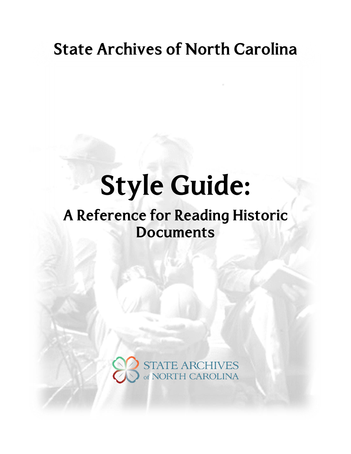## **State Archives of North Carolina**

# **Style Guide:**

## A Reference for Reading Historic **Documents**

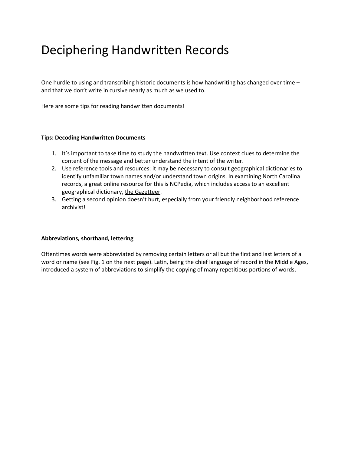### Deciphering Handwritten Records

One hurdle to using and transcribing historic documents is how handwriting has changed over time – and that we don't write in cursive nearly as much as we used to.

Here are some tips for reading handwritten documents!

#### **Tips: Decoding Handwritten Documents**

- 1. It's important to take time to study the handwritten text. Use context clues to determine the content of the message and better understand the intent of the writer.
- 2. Use reference tools and resources: it may be necessary to consult geographical dictionaries to identify unfamiliar town names and/or understand town origins. In examining North Carolina records, a great online resource for this is [NCPedia,](http://www.ncpedia.org/) which includes access to an excellent geographical dictionary, the [Gazetteer.](http://www.ncpedia.org/gazetteer)
- 3. Getting a second opinion doesn't hurt, especially from your friendly neighborhood reference archivist!

#### **Abbreviations, shorthand, lettering**

Oftentimes words were abbreviated by removing certain letters or all but the first and last letters of a word or name (see Fig. 1 on the next page). Latin, being the chief language of record in the Middle Ages, introduced a system of abbreviations to simplify the copying of many repetitious portions of words.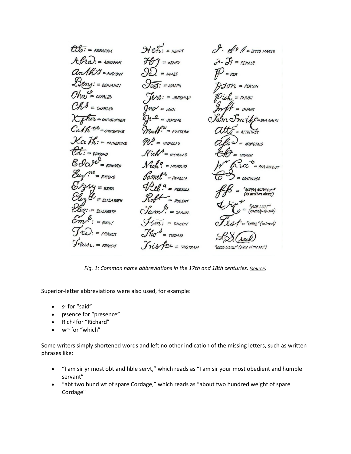*Fig. 1: Common name abbreviations in the 17th and 18th centuries. [\(source\)](http://freepages.family.rootsweb.ancestry.com/~emty/Old_Handwriting_and_Symbols.html)*

Superior-letter abbreviations were also used, for example:

- s<sup>d</sup> for "said"
- prsence for "presence"
- Rich<sup>d</sup> for "Richard"
- wch for "which"

Some writers simply shortened words and left no other indication of the missing letters, such as written phrases like:

- "I am sir yr most obt and hble servt," which reads as "I am sir your most obedient and humble servant"
- "abt two hund wt of spare Cordage," which reads as "about two hundred weight of spare Cordage"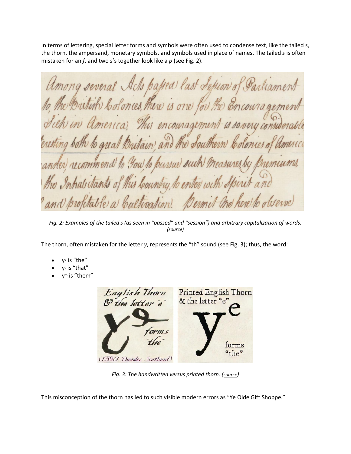In terms of lettering, special letter forms and symbols were often used to condense text, like the tailed s, the thorn, the ampersand, monetary symbols, and symbols used in place of names. The tailed *s* is often mistaken for an *f*, and two *s*'s together look like a *p* (see Fig. 2).

Among several Achs payed last Sepron of Parliament he Butish bolonces, there is one for the Encourages. in America, This encouragement is sovery contra Brutain and the Southern ng both to great Coloniero, er recommend to you to pursue such ! nemums, the Inhabitants of this bountry, to enter with Spire profitable a Cultivation. Dermit the here to observe

*Fig. 2: Examples of the tailed s (as seen in "passed" and "session") and arbitrary capitalization of words. [\(source\)](http://digital.ncdcr.gov/cdm/compoundobject/collection/p16062coll36/id/2842/rec/327)*

The thorn, often mistaken for the letter *y*, represents the "th" sound (see Fig. 3); thus, the word:

- $y<sup>e</sup>$  is "the"
- $y^t$  is "that"
- y<sup>m</sup> is "them"



*Fig. 3: The handwritten versus printed thorn. ([source](http://www.kenyonreview.org/2009/01/this-post-is-brought-to-ye-by-the-letter-thorn/))*

This misconception of the thorn has led to such visible modern errors as "Ye Olde Gift Shoppe."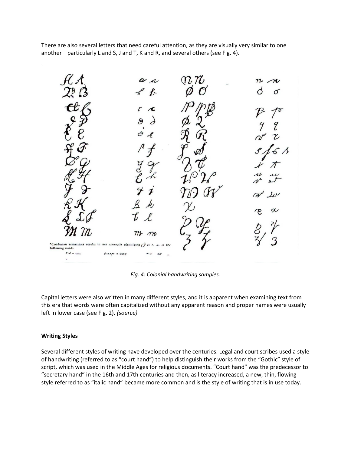There are also several letters that need careful attention, as they are visually very similar to one another—particularly L and S, J and T, K and R, and several others (see Fig. 4).

 $\eta$ ,  $\eta$  $n<sub>1</sub>$  $\mathbf{a}$ π \*Confusion tomminies readis in not correctly identifying  $e$ ,  $\omega$   $\omega$  ine following words  $P = \sin x$  $\delta$ *Ahry*  $\epsilon$  deep  $n_{\rm f}$  $\mathcal{L}_{\mathcal{S}}$ 

*Fig. 4: Colonial handwriting samples.*

Capital letters were also written in many different styles, and it is apparent when examining text from this era that words were often capitalized without any apparent reason and proper names were usually left in lower case (see Fig. 2). *[\(source\)](http://onhgs.org/colonialscript.htm)*

#### **Writing Styles**

Several different styles of writing have developed over the centuries. Legal and court scribes used a style of handwriting (referred to as "court hand") to help distinguish their works from the "Gothic" style of script, which was used in the Middle Ages for religious documents. "Court hand" was the predecessor to "secretary hand" in the 16th and 17th centuries and then, as literacy increased, a new, thin, flowing style referred to as "italic hand" became more common and is the style of writing that is in use today.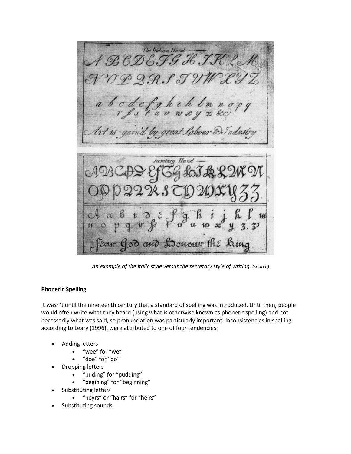BCDEFG H. T.R. L.  $2.9.$ f T a b c d e f g h i h l m Art is gain'd by great Labour & Industry **Secretary** Hand Ear God and Loureur the Line

*An example of the italic style versus the secretary style of writing. [\(source\)](https://www.colonialsociety.org/node/663)*

#### **Phonetic Spelling**

It wasn't until the nineteenth century that a standard of spelling was introduced. Until then, people would often write what they heard (using what is otherwise known as phonetic spelling) and not necessarily what was said, so pronunciation was particularly important. Inconsistencies in spelling, according to Leary (1996), were attributed to one of four tendencies:

- Adding letters
	- "wee" for "we"
	- "doe" for "do"
- Dropping letters
	- "puding" for "pudding"
	- "begining" for "beginning"
- Substituting letters
	- "heyrs" or "hairs" for "heirs"
- Substituting sounds